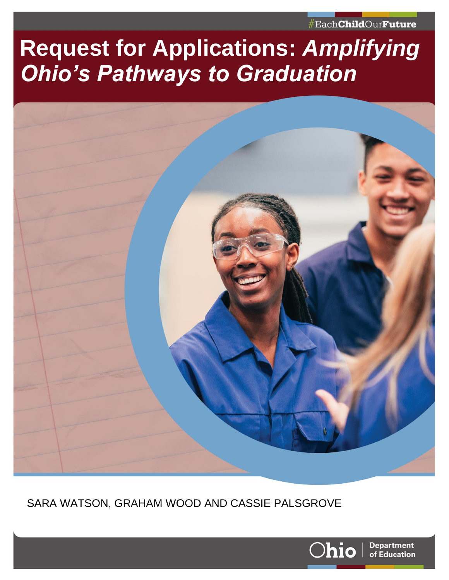#Each**Child**Our**Future** 

# **Request for Applications:** *Amplifying Ohio's Pathways to Graduation*

<span id="page-0-0"></span>

SARA WATSON, GRAHAM WOOD AND CASSIE PALSGROVE

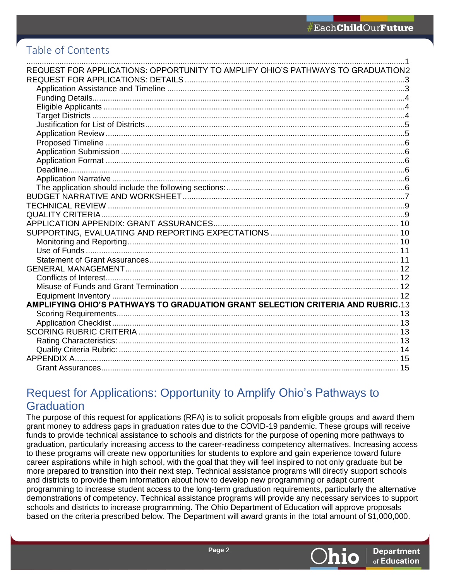# Table of Contents

| REQUEST FOR APPLICATIONS: OPPORTUNITY TO AMPLIFY OHIO'S PATHWAYS TO GRADUATION2 |  |
|---------------------------------------------------------------------------------|--|
|                                                                                 |  |
|                                                                                 |  |
|                                                                                 |  |
|                                                                                 |  |
|                                                                                 |  |
|                                                                                 |  |
|                                                                                 |  |
|                                                                                 |  |
|                                                                                 |  |
|                                                                                 |  |
|                                                                                 |  |
|                                                                                 |  |
|                                                                                 |  |
|                                                                                 |  |
|                                                                                 |  |
|                                                                                 |  |
|                                                                                 |  |
|                                                                                 |  |
|                                                                                 |  |
|                                                                                 |  |
|                                                                                 |  |
|                                                                                 |  |
|                                                                                 |  |
|                                                                                 |  |
|                                                                                 |  |
| AMPLIFYING OHIO'S PATHWAYS TO GRADUATION GRANT SELECTION CRITERIA AND RUBRIC.13 |  |
|                                                                                 |  |
|                                                                                 |  |
|                                                                                 |  |
|                                                                                 |  |
|                                                                                 |  |
|                                                                                 |  |
|                                                                                 |  |

# <span id="page-1-0"></span>Request for Applications: Opportunity to Amplify Ohio's Pathways to **Graduation**

The purpose of this request for applications (RFA) is to solicit proposals from eligible groups and award them grant money to address gaps in graduation rates due to the COVID-19 pandemic. These groups will receive funds to provide technical assistance to schools and districts for the purpose of opening more pathways to graduation, particularly increasing access to the career-readiness competency alternatives. Increasing access to these programs will create new opportunities for students to explore and gain experience toward future career aspirations while in high school, with the goal that they will feel inspired to not only graduate but be more prepared to transition into their next step. Technical assistance programs will directly support schools and districts to provide them information about how to develop new programming or adapt current programming to increase student access to the long-term graduation requirements, particularly the alternative demonstrations of competency. Technical assistance programs will provide any necessary services to support schools and districts to increase programming. The Ohio Department of Education will approve proposals based on the criteria prescribed below. The Department will award grants in the total amount of \$1,000,000.

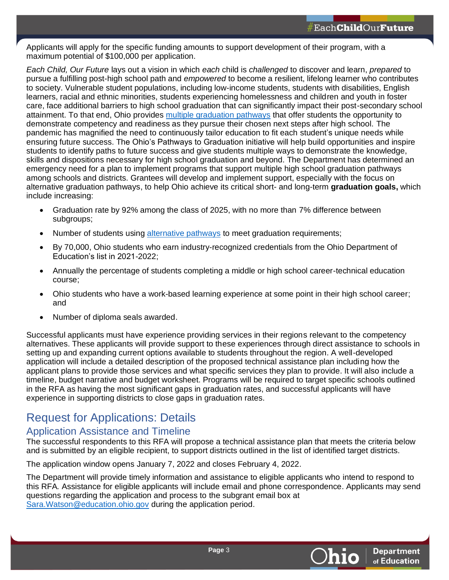Applicants will apply for the specific funding amounts to support development of their program, with a maximum potential of \$100,000 per application.

*Each Child, Our Future* lays out a vision in which *each* child is *challenged* to discover and learn, *prepared* to pursue a fulfilling post-high school path and *empowered* to become a resilient, lifelong learner who contributes to society. Vulnerable student populations, including low-income students, students with disabilities, English learners, racial and ethnic minorities, students experiencing homelessness and children and youth in foster care, face additional barriers to high school graduation that can significantly impact their post-secondary school attainment. To that end, Ohio provides [multiple graduation pathways](https://education.ohio.gov/getattachment/Topics/Ohio-s-Graduation-Requirements/Graduation-2021-and-beyond_Guidance-Document.pdf.aspx) that offer students the opportunity to demonstrate competency and readiness as they pursue their chosen next steps after high school. The pandemic has magnified the need to continuously tailor education to fit each student's unique needs while ensuring future success. The Ohio's Pathways to Graduation initiative will help build opportunities and inspire students to identify paths to future success and give students multiple ways to demonstrate the knowledge, skills and dispositions necessary for high school graduation and beyond. The Department has determined an emergency need for a plan to implement programs that support multiple high school graduation pathways among schools and districts. Grantees will develop and implement support, especially with the focus on alternative graduation pathways, to help Ohio achieve its critical short- and long-term **graduation goals,** which include increasing:

- Graduation rate by 92% among the class of 2025, with no more than 7% difference between subgroups;
- Number of students using [alternative pathways](https://education.ohio.gov/getattachment/Topics/Ohio-s-Graduation-Requirements/Graduation-2021-and-beyond_Guidance-Document.pdf.aspx) to meet graduation requirements;
- By 70,000, Ohio students who earn industry-recognized credentials from the Ohio Department of Education's list in 2021-2022;
- Annually the percentage of students completing a middle or high school career-technical education course;
- Ohio students who have a work-based learning experience at some point in their high school career; and
- Number of diploma seals awarded.

Successful applicants must have experience providing services in their regions relevant to the competency alternatives. These applicants will provide support to these experiences through direct assistance to schools in setting up and expanding current options available to students throughout the region. A well-developed application will include a detailed description of the proposed technical assistance plan including how the applicant plans to provide those services and what specific services they plan to provide. It will also include a timeline, budget narrative and budget worksheet. Programs will be required to target specific schools outlined in the RFA as having the most significant gaps in graduation rates, and successful applicants will have experience in supporting districts to close gaps in graduation rates.

# <span id="page-2-0"></span>Request for Applications: Details

### <span id="page-2-1"></span>Application Assistance and Timeline

The successful respondents to this RFA will propose a technical assistance plan that meets the criteria below and is submitted by an eligible recipient, to support districts outlined in the list of identified target districts.

The application window opens January 7, 2022 and closes February 4, 2022.

The Department will provide timely information and assistance to eligible applicants who intend to respond to this RFA*.* Assistance for eligible applicants will include email and phone correspondence. Applicants may send questions regarding the application and process to the subgrant email box at [Sara.Watson@education.ohio.gov](mailto:Sara.Watson@education.ohio.gov) during the application period.

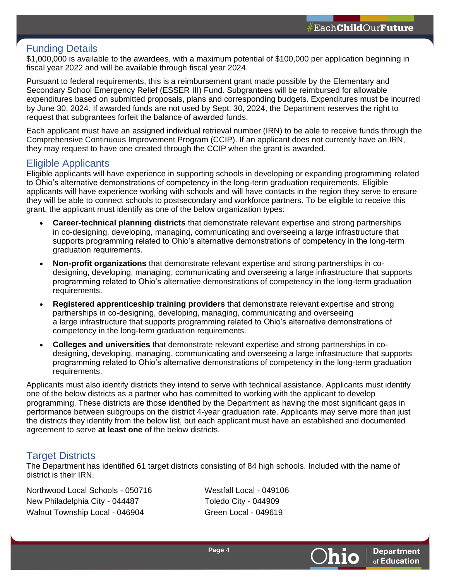### <span id="page-3-0"></span>Funding Details

\$1,000,000 is available to the awardees, with a maximum potential of \$100,000 per application beginning in fiscal year 2022 and will be available through fiscal year 2024.

Pursuant to federal requirements, this is a reimbursement grant made possible by the Elementary and Secondary School Emergency Relief (ESSER III) Fund. Subgrantees will be reimbursed for allowable expenditures based on submitted proposals, plans and corresponding budgets. Expenditures must be incurred by June 30, 2024. If awarded funds are not used by Sept. 30, 2024, the Department reserves the right to request that subgrantees forfeit the balance of awarded funds.

Each applicant must have an assigned individual retrieval number (IRN) to be able to receive funds through the Comprehensive Continuous Improvement Program (CCIP). If an applicant does not currently have an IRN, they may request to have one created through the CCIP when the grant is awarded.

#### <span id="page-3-1"></span>Eligible Applicants

Eligible applicants will have experience in supporting schools in developing or expanding programming related to Ohio's alternative demonstrations of competency in the long-term graduation requirements. Eligible applicants will have experience working with schools and will have contacts in the region they serve to ensure they will be able to connect schools to postsecondary and workforce partners. To be eligible to receive this grant, the applicant must identify as one of the below organization types:

- **Career-technical planning districts** that demonstrate relevant expertise and strong partnerships in co-designing, developing, managing, communicating and overseeing a large infrastructure that supports programming related to Ohio's alternative demonstrations of competency in the long-term graduation requirements.
- **Non-profit organizations** that demonstrate relevant expertise and strong partnerships in codesigning, developing, managing, communicating and overseeing a large infrastructure that supports programming related to Ohio's alternative demonstrations of competency in the long-term graduation requirements.
- **Registered apprenticeship training providers** that demonstrate relevant expertise and strong partnerships in co-designing, developing, managing, communicating and overseeing a large infrastructure that supports programming related to Ohio's alternative demonstrations of competency in the long-term graduation requirements.
- **Colleges and universities** that demonstrate relevant expertise and strong partnerships in codesigning, developing, managing, communicating and overseeing a large infrastructure that supports programming related to Ohio's alternative demonstrations of competency in the long-term graduation requirements.

Applicants must also identify districts they intend to serve with technical assistance. Applicants must identify one of the below districts as a partner who has committed to working with the applicant to develop programming. These districts are those identified by the Department as having the most significant gaps in performance between subgroups on the district 4-year graduation rate. Applicants may serve more than just the districts they identify from the below list, but each applicant must have an established and documented agreement to serve **at least one** of the below districts.

### <span id="page-3-2"></span>Target Districts

The Department has identified 61 target districts consisting of 84 high schools. Included with the name of district is their IRN.

Northwood Local Schools - 050716 Westfall Local - 049106 New Philadelphia City - 044487 Toledo City - 044909 Walnut Township Local - 046904 Green Local - 049619

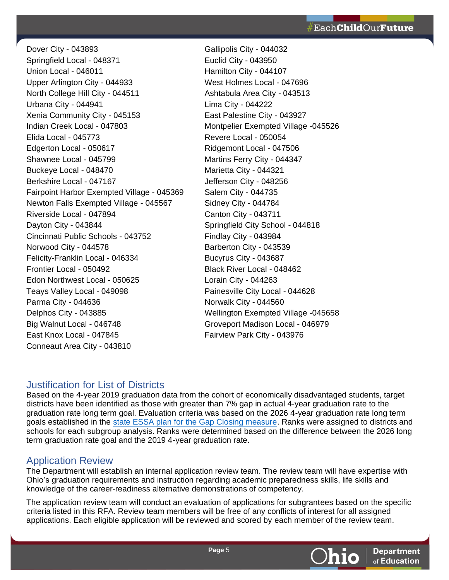Dover City - 043893 Gallipolis City - 044032 Springfield Local - 048371 Euclid City - 043950 Union Local - 046011 Hamilton City - 044107 Upper Arlington City - 044933 West Holmes Local - 047696 North College Hill City - 044511 Ashtabula Area City - 043513 Urbana City - 044941 Lima City - 044222 Xenia Community City - 045153 East Palestine City - 043927 Indian Creek Local - 047803 Montpelier Exempted Village -045526 Elida Local - 045773 Revere Local - 050054 Edgerton Local - 050617 Ridgemont Local - 047506 Shawnee Local - 045799 Martins Ferry City - 044347 Buckeye Local - 048470 Marietta City - 044321 Berkshire Local - 047167 Jefferson City - 048256 Fairpoint Harbor Exempted Village - 045369 Salem City - 044735 Newton Falls Exempted Village - 045567 Sidney City - 044784 Riverside Local - 047894 Canton City - 043711 Dayton City - 043844 Springfield City School - 044818 Cincinnati Public Schools - 043752 Findlay City - 043984 Norwood City - 044578 Barberton City - 043539 Felicity-Franklin Local - 046334 Bucyrus City - 043687 Frontier Local - 050492 Black River Local - 048462 Edon Northwest Local - 050625 Lorain City - 044263 Teays Valley Local - 049098 Painesville City Local - 044628 Parma City - 044636 Norwalk City - 044560 Delphos City - 043885 Wellington Exempted Village -045658 Big Walnut Local - 046748 Groveport Madison Local - 046979 East Knox Local - 047845 Fairview Park City - 043976 Conneaut Area City - 043810

### <span id="page-4-0"></span>Justification for List of Districts

Based on the 4-year 2019 graduation data from the cohort of economically disadvantaged students, target districts have been identified as those with greater than 7% gap in actual 4-year graduation rate to the graduation rate long term goal. Evaluation criteria was based on the 2026 4-year graduation rate long term goals established in the [state ESSA plan for the Gap Closing measure.](https://education.ohio.gov/Topics/Every-Student-Succeeds-Act-ESSA) Ranks were assigned to districts and schools for each subgroup analysis. Ranks were determined based on the difference between the 2026 long term graduation rate goal and the 2019 4-year graduation rate.

# <span id="page-4-1"></span>Application Review

The Department will establish an internal application review team. The review team will have expertise with Ohio's graduation requirements and instruction regarding academic preparedness skills, life skills and knowledge of the career-readiness alternative demonstrations of competency.

The application review team will conduct an evaluation of applications for subgrantees based on the specific criteria listed in this RFA. Review team members will be free of any conflicts of interest for all assigned applications. Each eligible application will be reviewed and scored by each member of the review team.

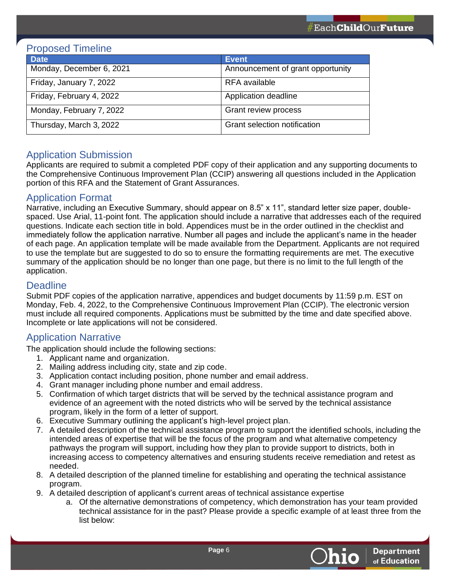### <span id="page-5-0"></span>Proposed Timeline

| <b>Date</b>              | <b>Event</b>                      |
|--------------------------|-----------------------------------|
| Monday, December 6, 2021 | Announcement of grant opportunity |
| Friday, January 7, 2022  | RFA available                     |
| Friday, February 4, 2022 | Application deadline              |
| Monday, February 7, 2022 | Grant review process              |
| Thursday, March 3, 2022  | Grant selection notification      |

# <span id="page-5-1"></span>Application Submission

Applicants are required to submit a completed PDF copy of their application and any supporting documents to the Comprehensive Continuous Improvement Plan (CCIP) answering all questions included in the Application portion of this RFA and the Statement of Grant Assurances.

### <span id="page-5-2"></span>Application Format

Narrative, including an Executive Summary, should appear on 8.5" x 11", standard letter size paper, doublespaced. Use Arial, 11-point font. The application should include a narrative that addresses each of the required questions. Indicate each section title in bold. Appendices must be in the order outlined in the checklist and immediately follow the application narrative. Number all pages and include the applicant's name in the header of each page. An application template will be made available from the Department. Applicants are not required to use the template but are suggested to do so to ensure the formatting requirements are met. The executive summary of the application should be no longer than one page, but there is no limit to the full length of the application.

### <span id="page-5-3"></span>**Deadline**

Submit PDF copies of the application narrative, appendices and budget documents by 11:59 p.m. EST on Monday, Feb. 4, 2022, to the Comprehensive Continuous Improvement Plan (CCIP). The electronic version must include all required components. Applications must be submitted by the time and date specified above. Incomplete or late applications will not be considered.

# <span id="page-5-4"></span>Application Narrative

<span id="page-5-5"></span>The application should include the following sections:

- 1. Applicant name and organization.
- 2. Mailing address including city, state and zip code.
- 3. Application contact including position, phone number and email address.
- 4. Grant manager including phone number and email address.
- 5. Confirmation of which target districts that will be served by the technical assistance program and evidence of an agreement with the noted districts who will be served by the technical assistance program, likely in the form of a letter of support.
- 6. Executive Summary outlining the applicant's high-level project plan.
- 7. A detailed description of the technical assistance program to support the identified schools, including the intended areas of expertise that will be the focus of the program and what alternative competency pathways the program will support, including how they plan to provide support to districts, both in increasing access to competency alternatives and ensuring students receive remediation and retest as needed.
- 8. A detailed description of the planned timeline for establishing and operating the technical assistance program.
- 9. A detailed description of applicant's current areas of technical assistance expertise
	- a. Of the alternative demonstrations of competency, which demonstration has your team provided technical assistance for in the past? Please provide a specific example of at least three from the list below:

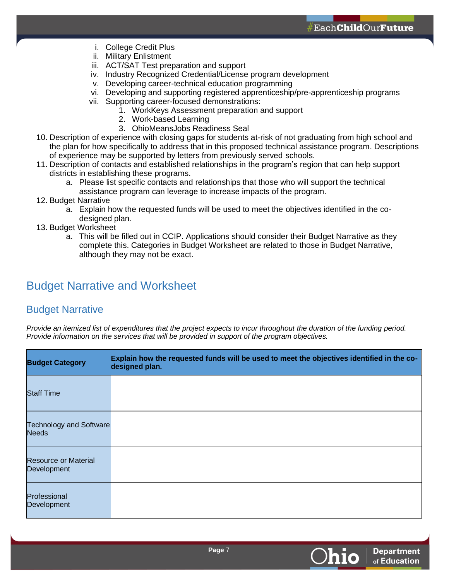- i. College Credit Plus
- ii. Military Enlistment
- iii. ACT/SAT Test preparation and support
- iv. Industry Recognized Credential/License program development
- v. Developing career-technical education programming
- vi. Developing and supporting registered apprenticeship/pre-apprenticeship programs
- vii. Supporting career-focused demonstrations:
	- 1. WorkKeys Assessment preparation and support
	- 2. Work-based Learning
	- 3. OhioMeansJobs Readiness Seal
- 10. Description of experience with closing gaps for students at-risk of not graduating from high school and the plan for how specifically to address that in this proposed technical assistance program. Descriptions of experience may be supported by letters from previously served schools.
- 11. Description of contacts and established relationships in the program's region that can help support districts in establishing these programs.
	- a. Please list specific contacts and relationships that those who will support the technical assistance program can leverage to increase impacts of the program.
- 12. Budget Narrative
	- a. Explain how the requested funds will be used to meet the objectives identified in the codesigned plan.
- 13. Budget Worksheet
	- a. This will be filled out in CCIP. Applications should consider their Budget Narrative as they complete this. Categories in Budget Worksheet are related to those in Budget Narrative, although they may not be exact.

# Budget Narrative and Worksheet

# Budget Narrative

*Provide an itemized list of expenditures that the project expects to incur throughout the duration of the funding period. Provide information on the services that will be provided in support of the program objectives.*

| <b>Budget Category</b>                         | Explain how the requested funds will be used to meet the objectives identified in the co-<br>designed plan. |
|------------------------------------------------|-------------------------------------------------------------------------------------------------------------|
| <b>Staff Time</b>                              |                                                                                                             |
| <b>Technology and Software</b><br><b>Needs</b> |                                                                                                             |
| <b>Resource or Material</b><br>Development     |                                                                                                             |
| Professional<br>Development                    |                                                                                                             |

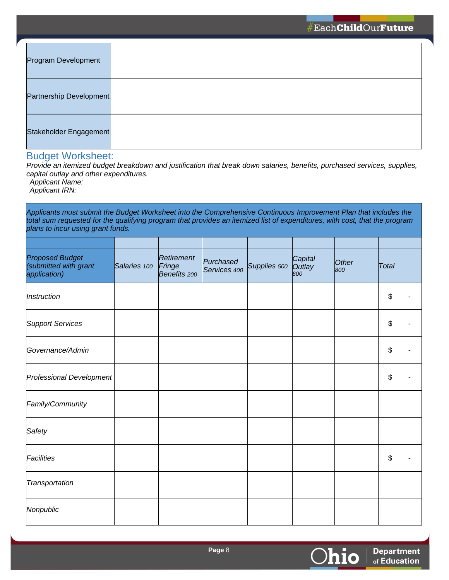| Program Development     |  |
|-------------------------|--|
| Partnership Development |  |
| Stakeholder Engagement  |  |

# Budget Worksheet:

*Provide an itemized budget breakdown and justification that break down salaries, benefits, purchased services, supplies, capital outlay and other expenditures.*

*Applicant Name: Applicant IRN:*

*Applicants must submit the Budget Worksheet into the Comprehensive Continuous Improvement Plan that includes the total sum requested for the qualifying program that provides an itemized list of expenditures, with cost, that the program plans to incur using grant funds.*

| <b>Proposed Budget</b><br>(submitted with grant<br>application) | Salaries 100 | Retirement<br>Fringe<br>Benefits 200 | Purchased<br>Services 400 | Supplies 500 | Capital<br>Outlay<br>600 | <b>Other</b><br>800 | Total |
|-----------------------------------------------------------------|--------------|--------------------------------------|---------------------------|--------------|--------------------------|---------------------|-------|
| Instruction                                                     |              |                                      |                           |              |                          |                     | \$    |
| <b>Support Services</b>                                         |              |                                      |                           |              |                          |                     | \$    |
| Governance/Admin                                                |              |                                      |                           |              |                          |                     | \$    |
| Professional Development                                        |              |                                      |                           |              |                          |                     | \$    |
| Family/Community                                                |              |                                      |                           |              |                          |                     |       |
| Safety                                                          |              |                                      |                           |              |                          |                     |       |
| Facilities                                                      |              |                                      |                           |              |                          |                     | \$    |
| Transportation                                                  |              |                                      |                           |              |                          |                     |       |
| Nonpublic                                                       |              |                                      |                           |              |                          |                     |       |

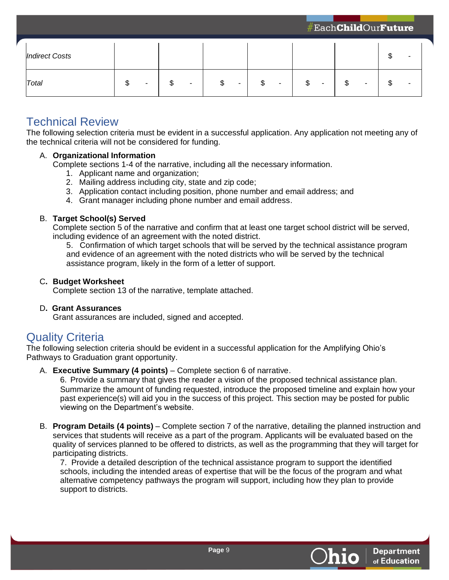| <b>Indirect Costs</b> |                          |   |         |    |   |   |   |    | ιIJ    |  |
|-----------------------|--------------------------|---|---------|----|---|---|---|----|--------|--|
| Total                 | $\overline{\phantom{0}}$ | Œ | ጥ<br>D. | \$ | ٠ | D | ۰ | \$ | ጥ<br>Φ |  |

# <span id="page-8-0"></span>Technical Review

The following selection criteria must be evident in a successful application. Any application not meeting any of the technical criteria will not be considered for funding.

#### A. **Organizational Information**

Complete sections 1-4 of the narrative, including all the necessary information.

- 1. Applicant name and organization;
- 2. Mailing address including city, state and zip code;
- 3. Application contact including position, phone number and email address; and
- 4. Grant manager including phone number and email address.

#### B. **Target School(s) Served**

Complete section 5 of the narrative and confirm that at least one target school district will be served, including evidence of an agreement with the noted district.

5. Confirmation of which target schools that will be served by the technical assistance program and evidence of an agreement with the noted districts who will be served by the technical assistance program, likely in the form of a letter of support.

#### C**. Budget Worksheet**

Complete section 13 of the narrative, template attached.

#### D**. Grant Assurances**

Grant assurances are included, signed and accepted.

# <span id="page-8-1"></span>Quality Criteria

The following selection criteria should be evident in a successful application for the Amplifying Ohio's Pathways to Graduation grant opportunity.

A. **Executive Summary (4 points)** – Complete section 6 of narrative.

6. Provide a summary that gives the reader a vision of the proposed technical assistance plan. Summarize the amount of funding requested, introduce the proposed timeline and explain how your past experience(s) will aid you in the success of this project. This section may be posted for public viewing on the Department's website.

B. **Program Details (4 points)** – Complete section 7 of the narrative, detailing the planned instruction and services that students will receive as a part of the program. Applicants will be evaluated based on the quality of services planned to be offered to districts, as well as the programming that they will target for participating districts.

7. Provide a detailed description of the technical assistance program to support the identified schools, including the intended areas of expertise that will be the focus of the program and what alternative competency pathways the program will support, including how they plan to provide support to districts.

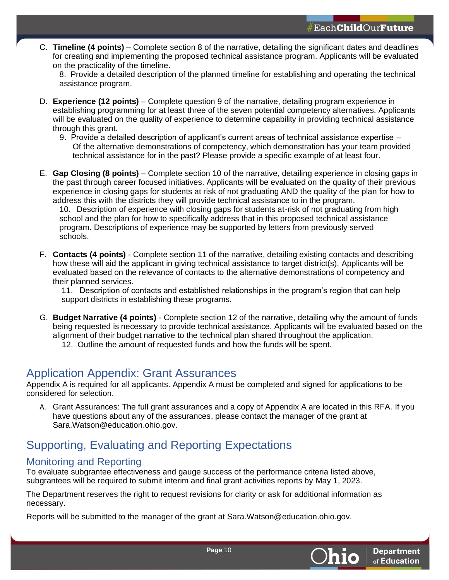C. **Timeline (4 points)** – Complete section 8 of the narrative, detailing the significant dates and deadlines for creating and implementing the proposed technical assistance program. Applicants will be evaluated on the practicality of the timeline.

8. Provide a detailed description of the planned timeline for establishing and operating the technical assistance program.

- D. **Experience (12 points)** Complete question 9 of the narrative, detailing program experience in establishing programming for at least three of the seven potential competency alternatives. Applicants will be evaluated on the quality of experience to determine capability in providing technical assistance through this grant.
	- 9. Provide a detailed description of applicant's current areas of technical assistance expertise Of the alternative demonstrations of competency, which demonstration has your team provided technical assistance for in the past? Please provide a specific example of at least four.
- E. **Gap Closing (8 points)**  Complete section 10 of the narrative, detailing experience in closing gaps in the past through career focused initiatives. Applicants will be evaluated on the quality of their previous experience in closing gaps for students at risk of not graduating AND the quality of the plan for how to address this with the districts they will provide technical assistance to in the program.

10. Description of experience with closing gaps for students at-risk of not graduating from high school and the plan for how to specifically address that in this proposed technical assistance program. Descriptions of experience may be supported by letters from previously served schools.

F. **Contacts (4 points)** - Complete section 11 of the narrative, detailing existing contacts and describing how these will aid the applicant in giving technical assistance to target district(s). Applicants will be evaluated based on the relevance of contacts to the alternative demonstrations of competency and their planned services.

11. Description of contacts and established relationships in the program's region that can help support districts in establishing these programs.

G. **Budget Narrative (4 points)** - Complete section 12 of the narrative, detailing why the amount of funds being requested is necessary to provide technical assistance. Applicants will be evaluated based on the alignment of their budget narrative to the technical plan shared throughout the application. 12. Outline the amount of requested funds and how the funds will be spent.

# <span id="page-9-0"></span>Application Appendix: Grant Assurances

Appendix A is required for all applicants. Appendix A must be completed and signed for applications to be considered for selection.

A. Grant Assurances: The full grant assurances and a copy of Appendix A are located in this RFA. If you have questions about any of the assurances, please contact the manager of the grant at Sara.Watson@education.ohio.gov.

# <span id="page-9-1"></span>Supporting, Evaluating and Reporting Expectations

### <span id="page-9-2"></span>Monitoring and Reporting

To evaluate subgrantee effectiveness and gauge success of the performance criteria listed above, subgrantees will be required to submit interim and final grant activities reports by May 1, 2023.

The Department reserves the right to request revisions for clarity or ask for additional information as necessary.

Reports will be submitted to the manager of the grant at Sara.Watson@education.ohio.gov.

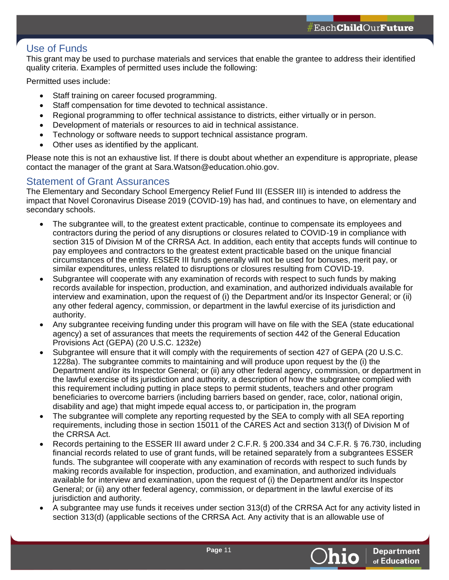### <span id="page-10-0"></span>Use of Funds

This grant may be used to purchase materials and services that enable the grantee to address their identified quality criteria. Examples of permitted uses include the following:

Permitted uses include:

- Staff training on career focused programming.
- Staff compensation for time devoted to technical assistance.
- Regional programming to offer technical assistance to districts, either virtually or in person.
- Development of materials or resources to aid in technical assistance.
- Technology or software needs to support technical assistance program.
- Other uses as identified by the applicant.

Please note this is not an exhaustive list. If there is doubt about whether an expenditure is appropriate, please contact the manager of the grant at Sara.Watson@education.ohio.gov.

#### <span id="page-10-1"></span>Statement of Grant Assurances

The Elementary and Secondary School Emergency Relief Fund III (ESSER III) is intended to address the impact that Novel Coronavirus Disease 2019 (COVID-19) has had, and continues to have, on elementary and secondary schools.

- The subgrantee will, to the greatest extent practicable, continue to compensate its employees and contractors during the period of any disruptions or closures related to COVID-19 in compliance with section 315 of Division M of the CRRSA Act. In addition, each entity that accepts funds will continue to pay employees and contractors to the greatest extent practicable based on the unique financial circumstances of the entity. ESSER III funds generally will not be used for bonuses, merit pay, or similar expenditures, unless related to disruptions or closures resulting from COVID-19.
- Subgrantee will cooperate with any examination of records with respect to such funds by making records available for inspection, production, and examination, and authorized individuals available for interview and examination, upon the request of (i) the Department and/or its Inspector General; or (ii) any other federal agency, commission, or department in the lawful exercise of its jurisdiction and authority.
- Any subgrantee receiving funding under this program will have on file with the SEA (state educational agency) a set of assurances that meets the requirements of section 442 of the General Education Provisions Act (GEPA) (20 U.S.C. 1232e)
- Subgrantee will ensure that it will comply with the requirements of section 427 of GEPA (20 U.S.C. 1228a). The subgrantee commits to maintaining and will produce upon request by the (i) the Department and/or its Inspector General; or (ii) any other federal agency, commission, or department in the lawful exercise of its jurisdiction and authority, a description of how the subgrantee complied with this requirement including putting in place steps to permit students, teachers and other program beneficiaries to overcome barriers (including barriers based on gender, race, color, national origin, disability and age) that might impede equal access to, or participation in, the program
- The subgrantee will complete any reporting requested by the SEA to comply with all SEA reporting requirements, including those in section 15011 of the CARES Act and section 313(f) of Division M of the CRRSA Act.
- Records pertaining to the ESSER III award under 2 C.F.R. § 200.334 and 34 C.F.R. § 76.730, including financial records related to use of grant funds, will be retained separately from a subgrantees ESSER funds. The subgrantee will cooperate with any examination of records with respect to such funds by making records available for inspection, production, and examination, and authorized individuals available for interview and examination, upon the request of (i) the Department and/or its Inspector General; or (ii) any other federal agency, commission, or department in the lawful exercise of its jurisdiction and authority.
- A subgrantee may use funds it receives under section 313(d) of the CRRSA Act for any activity listed in section 313(d) (applicable sections of the CRRSA Act. Any activity that is an allowable use of

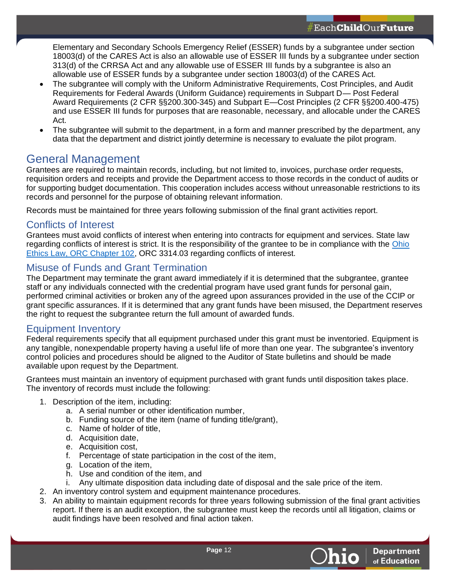Elementary and Secondary Schools Emergency Relief (ESSER) funds by a subgrantee under section 18003(d) of the CARES Act is also an allowable use of ESSER III funds by a subgrantee under section 313(d) of the CRRSA Act and any allowable use of ESSER III funds by a subgrantee is also an allowable use of ESSER funds by a subgrantee under section 18003(d) of the CARES Act.

- The subgrantee will comply with the Uniform Administrative Requirements, Cost Principles, and Audit Requirements for Federal Awards (Uniform Guidance) requirements in Subpart D— Post Federal Award Requirements (2 CFR §§200.300-345) and Subpart E—Cost Principles (2 CFR §§200.400-475) and use ESSER III funds for purposes that are reasonable, necessary, and allocable under the CARES Act.
- The subgrantee will submit to the department, in a form and manner prescribed by the department, any data that the department and district jointly determine is necessary to evaluate the pilot program.

# <span id="page-11-0"></span>General Management

Grantees are required to maintain records, including, but not limited to, invoices, purchase order requests, requisition orders and receipts and provide the Department access to those records in the conduct of audits or for supporting budget documentation. This cooperation includes access without unreasonable restrictions to its records and personnel for the purpose of obtaining relevant information.

Records must be maintained for three years following submission of the final grant activities report.

#### <span id="page-11-1"></span>Conflicts of Interest

Grantees must avoid conflicts of interest when entering into contracts for equipment and services. State law regarding conflicts of interest is strict. It is the responsibility of the grantee to be in compliance with the [Ohio](http://codes.ohio.gov/orc/102)  [Ethics Law, ORC Chapter 102,](http://codes.ohio.gov/orc/102) ORC 3314.03 regarding conflicts of interest.

### <span id="page-11-2"></span>Misuse of Funds and Grant Termination

The Department may terminate the grant award immediately if it is determined that the subgrantee, grantee staff or any individuals connected with the credential program have used grant funds for personal gain, performed criminal activities or broken any of the agreed upon assurances provided in the use of the CCIP or grant specific assurances. If it is determined that any grant funds have been misused, the Department reserves the right to request the subgrantee return the full amount of awarded funds.

#### <span id="page-11-3"></span>Equipment Inventory

Federal requirements specify that all equipment purchased under this grant must be inventoried. Equipment is any tangible, nonexpendable property having a useful life of more than one year. The subgrantee's inventory control policies and procedures should be aligned to the Auditor of State bulletins and should be made available upon request by the Department.

Grantees must maintain an inventory of equipment purchased with grant funds until disposition takes place. The inventory of records must include the following:

- 1. Description of the item, including:
	- a. A serial number or other identification number,
	- b. Funding source of the item (name of funding title/grant),
	- c. Name of holder of title,
	- d. Acquisition date,
	- e. Acquisition cost,
	- f. Percentage of state participation in the cost of the item,
	- g. Location of the item,
	- h. Use and condition of the item, and
	- i. Any ultimate disposition data including date of disposal and the sale price of the item.
- 2. An inventory control system and equipment maintenance procedures.
- 3. An ability to maintain equipment records for three years following submission of the final grant activities report. If there is an audit exception, the subgrantee must keep the records until all litigation, claims or audit findings have been resolved and final action taken.

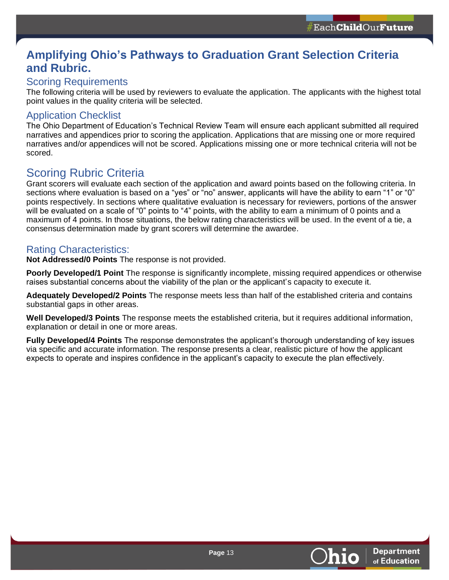# <span id="page-12-0"></span>**Amplifying Ohio's Pathways to Graduation Grant Selection Criteria and Rubric.**

# <span id="page-12-1"></span>Scoring Requirements

The following criteria will be used by reviewers to evaluate the application. The applicants with the highest total point values in the quality criteria will be selected.

# <span id="page-12-2"></span>Application Checklist

The Ohio Department of Education's Technical Review Team will ensure each applicant submitted all required narratives and appendices prior to scoring the application. Applications that are missing one or more required narratives and/or appendices will not be scored. Applications missing one or more technical criteria will not be scored.

# <span id="page-12-3"></span>Scoring Rubric Criteria

Grant scorers will evaluate each section of the application and award points based on the following criteria. In sections where evaluation is based on a "yes" or "no" answer, applicants will have the ability to earn "1" or "0" points respectively. In sections where qualitative evaluation is necessary for reviewers, portions of the answer will be evaluated on a scale of "0" points to "4" points, with the ability to earn a minimum of 0 points and a maximum of 4 points. In those situations, the below rating characteristics will be used. In the event of a tie, a consensus determination made by grant scorers will determine the awardee.

# <span id="page-12-4"></span>Rating Characteristics:

**Not Addressed/0 Points** The response is not provided.

**Poorly Developed/1 Point** The response is significantly incomplete, missing required appendices or otherwise raises substantial concerns about the viability of the plan or the applicant's capacity to execute it.

**Adequately Developed/2 Points** The response meets less than half of the established criteria and contains substantial gaps in other areas.

**Well Developed/3 Points** The response meets the established criteria, but it requires additional information, explanation or detail in one or more areas.

**Fully Developed/4 Points** The response demonstrates the applicant's thorough understanding of key issues via specific and accurate information. The response presents a clear, realistic picture of how the applicant expects to operate and inspires confidence in the applicant's capacity to execute the plan effectively.

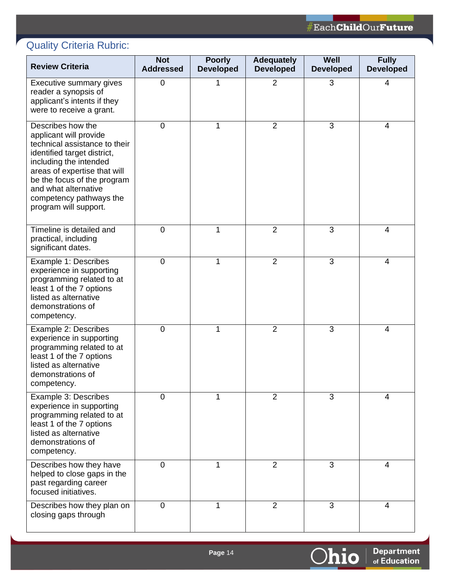**Department**<br>of Education

Ohio

# <span id="page-13-0"></span>Quality Criteria Rubric:

| <b>Review Criteria</b>                                                                                                                                                                                                                                                           | <b>Not</b><br><b>Addressed</b> | <b>Poorly</b><br><b>Developed</b> | <b>Adequately</b><br><b>Developed</b> | Well<br><b>Developed</b> | <b>Fully</b><br><b>Developed</b> |
|----------------------------------------------------------------------------------------------------------------------------------------------------------------------------------------------------------------------------------------------------------------------------------|--------------------------------|-----------------------------------|---------------------------------------|--------------------------|----------------------------------|
| Executive summary gives<br>reader a synopsis of<br>applicant's intents if they<br>were to receive a grant.                                                                                                                                                                       | 0                              | 1                                 | $\overline{2}$                        | 3                        | 4                                |
| Describes how the<br>applicant will provide<br>technical assistance to their<br>identified target district,<br>including the intended<br>areas of expertise that will<br>be the focus of the program<br>and what alternative<br>competency pathways the<br>program will support. | 0                              | 1                                 | $\overline{2}$                        | 3                        | 4                                |
| Timeline is detailed and<br>practical, including<br>significant dates.                                                                                                                                                                                                           | 0                              | 1                                 | $\overline{2}$                        | 3                        | 4                                |
| Example 1: Describes<br>experience in supporting<br>programming related to at<br>least 1 of the 7 options<br>listed as alternative<br>demonstrations of<br>competency.                                                                                                           | $\mathbf 0$                    | 1                                 | $\overline{2}$                        | 3                        | $\overline{4}$                   |
| Example 2: Describes<br>experience in supporting<br>programming related to at<br>least 1 of the 7 options<br>listed as alternative<br>demonstrations of<br>competency.                                                                                                           | $\mathbf 0$                    | 1                                 | $\overline{2}$                        | 3                        | 4                                |
| Example 3: Describes<br>experience in supporting<br>programming related to at<br>least 1 of the 7 options<br>listed as alternative<br>demonstrations of<br>competency.                                                                                                           | $\mathbf 0$                    | 1                                 | $\overline{2}$                        | 3                        | 4                                |
| Describes how they have<br>helped to close gaps in the<br>past regarding career<br>focused initiatives.                                                                                                                                                                          | $\mathbf 0$                    | 1                                 | $\overline{2}$                        | 3                        | $\overline{4}$                   |
| Describes how they plan on<br>closing gaps through                                                                                                                                                                                                                               | 0                              | 1                                 | 2                                     | 3                        | 4                                |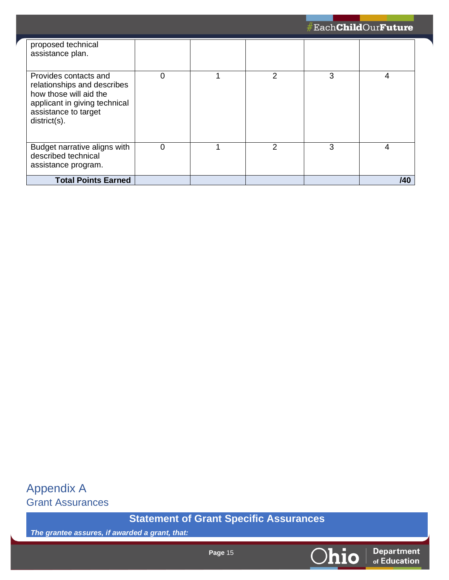|                                                                                                                                                            |   |   |   | #Each <b>Child</b> Our <b>Future</b> |
|------------------------------------------------------------------------------------------------------------------------------------------------------------|---|---|---|--------------------------------------|
| proposed technical<br>assistance plan.                                                                                                                     |   |   |   |                                      |
| Provides contacts and<br>relationships and describes<br>how those will aid the<br>applicant in giving technical<br>assistance to target<br>$distlict(s)$ . | 0 | 2 | 3 | 4                                    |
| Budget narrative aligns with<br>described technical<br>assistance program.                                                                                 | 0 | 2 | 3 | 4                                    |
| <b>Total Points Earned</b>                                                                                                                                 |   |   |   | /40                                  |

<span id="page-14-1"></span><span id="page-14-0"></span>Appendix A Grant Assurances

**Statement of Grant Specific Assurances**

*The grantee assures, if awarded a grant, that:*

Ohio

**Department**<br>of Education

**Page** 15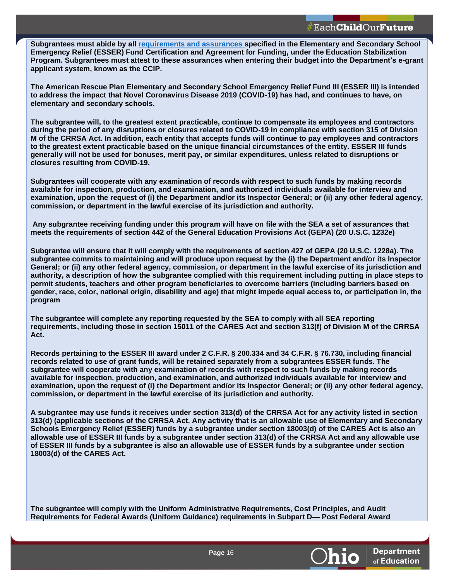**Subgrantees must abide by all [requirements and assurances](http://education.ohio.gov/getattachment/Topics/Finance-and-Funding/Grants-Administration/Sections/Managing-Your-Grant/Assurances_CCIP_Funding-Application.pdf.aspx?lang=en-US) specified in the Elementary and Secondary School Emergency Relief (ESSER) Fund Certification and Agreement for Funding, under the Education Stabilization Program. Subgrantees must attest to these assurances when entering their budget into the Department's e-grant applicant system, known as the CCIP.**

**The American Rescue Plan Elementary and Secondary School Emergency Relief Fund III (ESSER III) is intended to address the impact that Novel Coronavirus Disease 2019 (COVID-19) has had, and continues to have, on elementary and secondary schools.**

**The subgrantee will, to the greatest extent practicable, continue to compensate its employees and contractors during the period of any disruptions or closures related to COVID-19 in compliance with section 315 of Division M of the CRRSA Act. In addition, each entity that accepts funds will continue to pay employees and contractors to the greatest extent practicable based on the unique financial circumstances of the entity. ESSER III funds generally will not be used for bonuses, merit pay, or similar expenditures, unless related to disruptions or closures resulting from COVID-19.**

**Subgrantees will cooperate with any examination of records with respect to such funds by making records available for inspection, production, and examination, and authorized individuals available for interview and examination, upon the request of (i) the Department and/or its Inspector General; or (ii) any other federal agency, commission, or department in the lawful exercise of its jurisdiction and authority.**

**Any subgrantee receiving funding under this program will have on file with the SEA a set of assurances that meets the requirements of section 442 of the General Education Provisions Act (GEPA) (20 U.S.C. 1232e)**

**Subgrantee will ensure that it will comply with the requirements of section 427 of GEPA (20 U.S.C. 1228a). The subgrantee commits to maintaining and will produce upon request by the (i) the Department and/or its Inspector General; or (ii) any other federal agency, commission, or department in the lawful exercise of its jurisdiction and authority, a description of how the subgrantee complied with this requirement including putting in place steps to permit students, teachers and other program beneficiaries to overcome barriers (including barriers based on gender, race, color, national origin, disability and age) that might impede equal access to, or participation in, the program**

**The subgrantee will complete any reporting requested by the SEA to comply with all SEA reporting requirements, including those in section 15011 of the CARES Act and section 313(f) of Division M of the CRRSA Act.**

**Records pertaining to the ESSER III award under 2 C.F.R. § 200.334 and 34 C.F.R. § 76.730, including financial records related to use of grant funds, will be retained separately from a subgrantees ESSER funds. The subgrantee will cooperate with any examination of records with respect to such funds by making records available for inspection, production, and examination, and authorized individuals available for interview and examination, upon the request of (i) the Department and/or its Inspector General; or (ii) any other federal agency, commission, or department in the lawful exercise of its jurisdiction and authority.**

**A subgrantee may use funds it receives under section 313(d) of the CRRSA Act for any activity listed in section 313(d) (applicable sections of the CRRSA Act. Any activity that is an allowable use of Elementary and Secondary Schools Emergency Relief (ESSER) funds by a subgrantee under section 18003(d) of the CARES Act is also an allowable use of ESSER III funds by a subgrantee under section 313(d) of the CRRSA Act and any allowable use of ESSER III funds by a subgrantee is also an allowable use of ESSER funds by a subgrantee under section 18003(d) of the CARES Act.**

**The subgrantee will comply with the Uniform Administrative Requirements, Cost Principles, and Audit Requirements for Federal Awards (Uniform Guidance) requirements in Subpart D— Post Federal Award** 



**Department** of Education